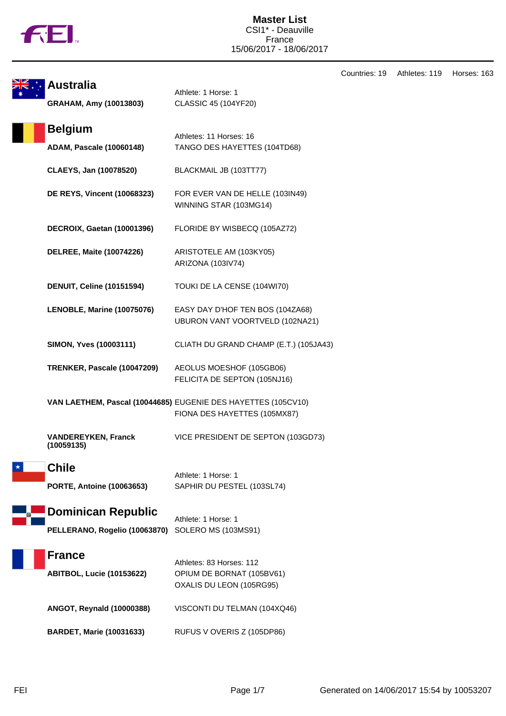

| Countries: 19 | Athletes: 119 | Horses: 163 |
|---------------|---------------|-------------|
|---------------|---------------|-------------|

| <b>Australia</b><br>GRAHAM, Amy (10013803)                 | Athlete: 1 Horse: 1<br>CLASSIC 45 (104YF20)                                                   |  |
|------------------------------------------------------------|-----------------------------------------------------------------------------------------------|--|
| <b>Belgium</b><br><b>ADAM, Pascale (10060148)</b>          | Athletes: 11 Horses: 16<br>TANGO DES HAYETTES (104TD68)                                       |  |
| CLAEYS, Jan (10078520)                                     | BLACKMAIL JB (103TT77)                                                                        |  |
| <b>DE REYS, Vincent (10068323)</b>                         | FOR EVER VAN DE HELLE (103IN49)<br>WINNING STAR (103MG14)                                     |  |
| DECROIX, Gaetan (10001396)                                 | FLORIDE BY WISBECQ (105AZ72)                                                                  |  |
| <b>DELREE, Maite (10074226)</b>                            | ARISTOTELE AM (103KY05)<br>ARIZONA (103IV74)                                                  |  |
| <b>DENUIT, Celine (10151594)</b>                           | TOUKI DE LA CENSE (104WI70)                                                                   |  |
| LENOBLE, Marine (10075076)                                 | EASY DAY D'HOF TEN BOS (104ZA68)<br>UBURON VANT VOORTVELD (102NA21)                           |  |
| <b>SIMON, Yves (10003111)</b>                              | CLIATH DU GRAND CHAMP (E.T.) (105JA43)                                                        |  |
| TRENKER, Pascale (10047209)                                | AEOLUS MOESHOF (105GB06)<br>FELICITA DE SEPTON (105NJ16)                                      |  |
|                                                            | VAN LAETHEM, Pascal (10044685) EUGENIE DES HAYETTES (105CV10)<br>FIONA DES HAYETTES (105MX87) |  |
| <b>VANDEREYKEN, Franck</b><br>(10059135)                   | VICE PRESIDENT DE SEPTON (103GD73)                                                            |  |
| <b>Chile</b><br><b>PORTE, Antoine (10063653)</b>           | Athlete: 1 Horse: 1<br>SAPHIR DU PESTEL (103SL74)                                             |  |
| <b>Dominican Republic</b><br>PELLERANO, Rogelio (10063870) | Athlete: 1 Horse: 1<br>SOLERO MS (103MS91)                                                    |  |
| <b>France</b><br><b>ABITBOL, Lucie (10153622)</b>          | Athletes: 83 Horses: 112<br>OPIUM DE BORNAT (105BV61)<br>OXALIS DU LEON (105RG95)             |  |
| ANGOT, Reynald (10000388)                                  | VISCONTI DU TELMAN (104XQ46)                                                                  |  |
| <b>BARDET, Marie (10031633)</b>                            | RUFUS V OVERIS Z (105DP86)                                                                    |  |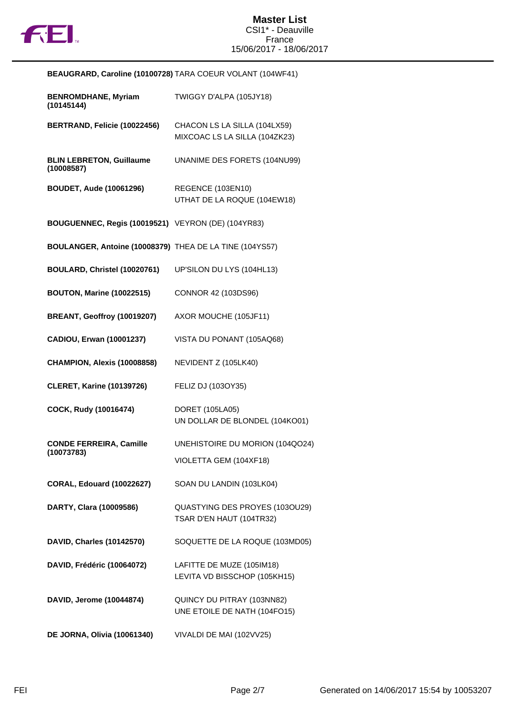

| <b>BENROMDHANE, Myriam</b><br>(10145144)                | TWIGGY D'ALPA (105JY18)                                       |
|---------------------------------------------------------|---------------------------------------------------------------|
| BERTRAND, Felicie (10022456)                            | CHACON LS LA SILLA (104LX59)<br>MIXCOAC LS LA SILLA (104ZK23) |
| <b>BLIN LEBRETON, Guillaume</b><br>(10008587)           | UNANIME DES FORETS (104NU99)                                  |
| <b>BOUDET, Aude (10061296)</b>                          | REGENCE (103EN10)<br>UTHAT DE LA ROQUE (104EW18)              |
| BOUGUENNEC, Regis (10019521) VEYRON (DE) (104YR83)      |                                                               |
| BOULANGER, Antoine (10008379) THEA DE LA TINE (104YS57) |                                                               |
| BOULARD, Christel (10020761)                            | UP'SILON DU LYS (104HL13)                                     |
| <b>BOUTON, Marine (10022515)</b>                        | CONNOR 42 (103DS96)                                           |
| BREANT, Geoffroy (10019207)                             | AXOR MOUCHE (105JF11)                                         |
| CADIOU, Erwan (10001237)                                | VISTA DU PONANT (105AQ68)                                     |
| <b>CHAMPION, Alexis (10008858)</b>                      | NEVIDENT Z (105LK40)                                          |
| <b>CLERET, Karine (10139726)</b>                        | FELIZ DJ (103OY35)                                            |
| COCK, Rudy (10016474)                                   | DORET (105LA05)<br>UN DOLLAR DE BLONDEL (104KO01)             |
| <b>CONDE FERREIRA, Camille</b><br>(10073783)            | UNEHISTOIRE DU MORION (104QO24)                               |
|                                                         | VIOLETTA GEM (104XF18)                                        |
| <b>CORAL, Edouard (10022627)</b>                        | SOAN DU LANDIN (103LK04)                                      |
| DARTY, Clara (10009586)                                 | QUASTYING DES PROYES (103OU29)<br>TSAR D'EN HAUT (104TR32)    |
| DAVID, Charles (10142570)                               | SOQUETTE DE LA ROQUE (103MD05)                                |
| DAVID, Frédéric (10064072)                              | LAFITTE DE MUZE (105IM18)<br>LEVITA VD BISSCHOP (105KH15)     |
| DAVID, Jerome (10044874)                                | QUINCY DU PITRAY (103NN82)<br>UNE ETOILE DE NATH (104FO15)    |
| <b>DE JORNA, Olivia (10061340)</b>                      | VIVALDI DE MAI (102VV25)                                      |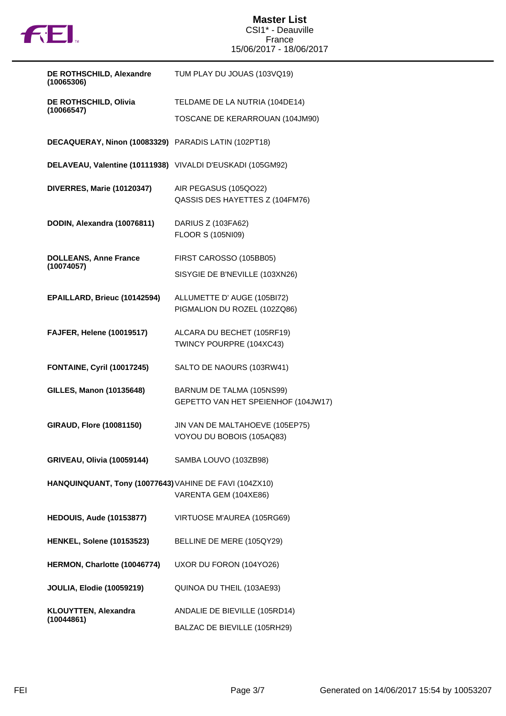

| DE ROTHSCHILD, Alexandre<br>(10065306)                     | TUM PLAY DU JOUAS (103VQ19)                                      |
|------------------------------------------------------------|------------------------------------------------------------------|
| DE ROTHSCHILD, Olivia                                      | TELDAME DE LA NUTRIA (104DE14)                                   |
| (10066547)                                                 | TOSCANE DE KERARROUAN (104JM90)                                  |
| DECAQUERAY, Ninon (10083329) PARADIS LATIN (102PT18)       |                                                                  |
| DELAVEAU, Valentine (10111938) VIVALDI D'EUSKADI (105GM92) |                                                                  |
| <b>DIVERRES, Marie (10120347)</b>                          | AIR PEGASUS (105QO22)<br>QASSIS DES HAYETTES Z (104FM76)         |
| DODIN, Alexandra (10076811)                                | DARIUS Z (103FA62)<br><b>FLOOR S (105NI09)</b>                   |
| <b>DOLLEANS, Anne France</b>                               | FIRST CAROSSO (105BB05)                                          |
| (10074057)                                                 | SISYGIE DE B'NEVILLE (103XN26)                                   |
| EPAILLARD, Brieuc (10142594)                               | ALLUMETTE D' AUGE (105BI72)<br>PIGMALION DU ROZEL (102ZQ86)      |
| <b>FAJFER, Helene (10019517)</b>                           | ALCARA DU BECHET (105RF19)<br>TWINCY POURPRE (104XC43)           |
| <b>FONTAINE, Cyril (10017245)</b>                          | SALTO DE NAOURS (103RW41)                                        |
| <b>GILLES, Manon (10135648)</b>                            | BARNUM DE TALMA (105NS99)<br>GEPETTO VAN HET SPEIENHOF (104JW17) |
| <b>GIRAUD, Flore (10081150)</b>                            | JIN VAN DE MALTAHOEVE (105EP75)<br>VOYOU DU BOBOIS (105AQ83)     |
| GRIVEAU, Olivia (10059144) SAMBA LOUVO (103ZB98)           |                                                                  |
| HANQUINQUANT, Tony (10077643) VAHINE DE FAVI (104ZX10)     | VARENTA GEM (104XE86)                                            |
| <b>HEDOUIS, Aude (10153877)</b>                            | VIRTUOSE M'AUREA (105RG69)                                       |
| <b>HENKEL, Solene (10153523)</b>                           | BELLINE DE MERE (105QY29)                                        |
| HERMON, Charlotte (10046774)                               | UXOR DU FORON (104YO26)                                          |
| <b>JOULIA, Elodie (10059219)</b>                           | QUINOA DU THEIL (103AE93)                                        |
| <b>KLOUYTTEN, Alexandra</b>                                | ANDALIE DE BIEVILLE (105RD14)                                    |
| (10044861)                                                 | BALZAC DE BIEVILLE (105RH29)                                     |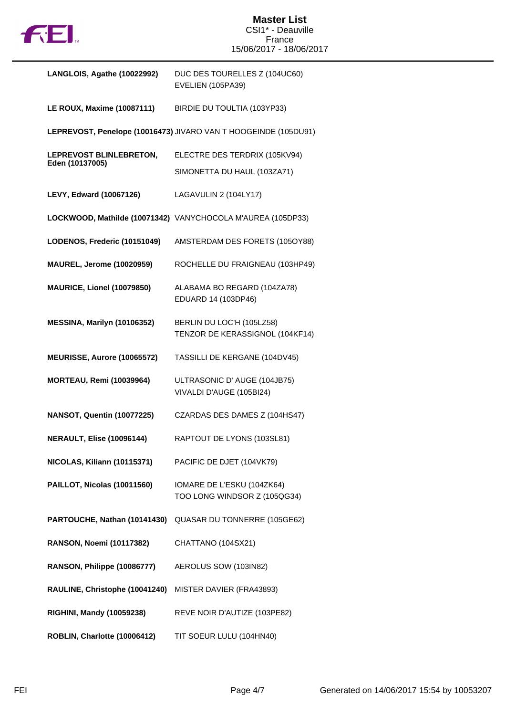

| LANGLOIS, Agathe (10022992)                | DUC DES TOURELLES Z (104UC60)<br>EVELIEN (105PA39)              |
|--------------------------------------------|-----------------------------------------------------------------|
| <b>LE ROUX, Maxime (10087111)</b>          | BIRDIE DU TOULTIA (103YP33)                                     |
|                                            | LEPREVOST, Penelope (10016473) JIVARO VAN T HOOGEINDE (105DU91) |
| LEPREVOST BLINLEBRETON,<br>Eden (10137005) | ELECTRE DES TERDRIX (105KV94)                                   |
|                                            | SIMONETTA DU HAUL (103ZA71)                                     |
| <b>LEVY, Edward (10067126)</b>             | LAGAVULIN 2 (104LY17)                                           |
|                                            | LOCKWOOD, Mathilde (10071342) VANYCHOCOLA M'AUREA (105DP33)     |
| LODENOS, Frederic (10151049)               | AMSTERDAM DES FORETS (105OY88)                                  |
| <b>MAUREL, Jerome (10020959)</b>           | ROCHELLE DU FRAIGNEAU (103HP49)                                 |
| MAURICE, Lionel (10079850)                 | ALABAMA BO REGARD (104ZA78)<br>EDUARD 14 (103DP46)              |
| MESSINA, Marilyn (10106352)                | BERLIN DU LOC'H (105LZ58)<br>TENZOR DE KERASSIGNOL (104KF14)    |
| MEURISSE, Aurore (10065572)                | TASSILLI DE KERGANE (104DV45)                                   |
| <b>MORTEAU, Remi (10039964)</b>            | ULTRASONIC D' AUGE (104JB75)<br>VIVALDI D'AUGE (105BI24)        |
| NANSOT, Quentin (10077225)                 | CZARDAS DES DAMES Z (104HS47)                                   |
| <b>NERAULT, Elise (10096144)</b>           | RAPTOUT DE LYONS (103SL81)                                      |
| NICOLAS, Kiliann (10115371)                | PACIFIC DE DJET (104VK79)                                       |
| PAILLOT, Nicolas (10011560)                | IOMARE DE L'ESKU (104ZK64)<br>TOO LONG WINDSOR Z (105QG34)      |
| PARTOUCHE, Nathan (10141430)               | QUASAR DU TONNERRE (105GE62)                                    |
| <b>RANSON, Noemi (10117382)</b>            | CHATTANO (104SX21)                                              |
| RANSON, Philippe (10086777)                | AEROLUS SOW (103IN82)                                           |
| RAULINE, Christophe (10041240)             | MISTER DAVIER (FRA43893)                                        |
| <b>RIGHINI, Mandy (10059238)</b>           | REVE NOIR D'AUTIZE (103PE82)                                    |
| ROBLIN, Charlotte (10006412)               | TIT SOEUR LULU (104HN40)                                        |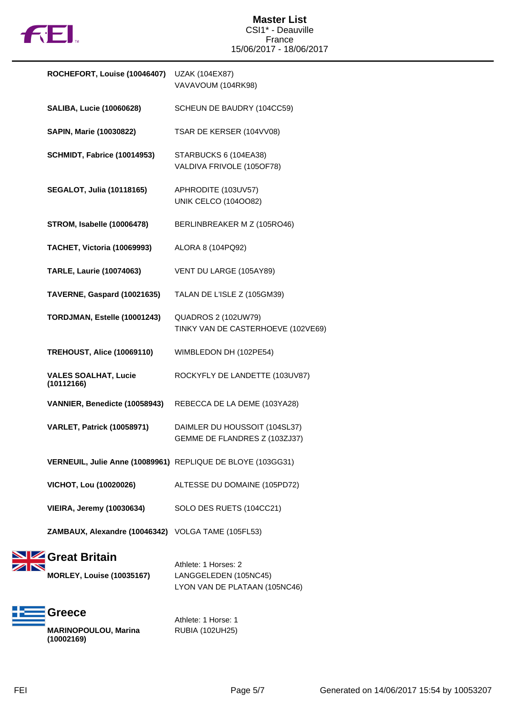

| ROCHEFORT, Louise (10046407)                                | UZAK (104EX87)                                                   |
|-------------------------------------------------------------|------------------------------------------------------------------|
|                                                             | VAVAVOUM (104RK98)                                               |
| <b>SALIBA, Lucie (10060628)</b>                             | SCHEUN DE BAUDRY (104CC59)                                       |
| <b>SAPIN, Marie (10030822)</b>                              | TSAR DE KERSER (104VV08)                                         |
| SCHMIDT, Fabrice (10014953)                                 | STARBUCKS 6 (104EA38)<br>VALDIVA FRIVOLE (105OF78)               |
| <b>SEGALOT, Julia (10118165)</b>                            | APHRODITE (103UV57)<br><b>UNIK CELCO (1040082)</b>               |
| <b>STROM, Isabelle (10006478)</b>                           | BERLINBREAKER M Z (105RO46)                                      |
| TACHET, Victoria (10069993)                                 | ALORA 8 (104PQ92)                                                |
| <b>TARLE, Laurie (10074063)</b>                             | VENT DU LARGE (105AY89)                                          |
| TAVERNE, Gaspard (10021635)                                 | TALAN DE L'ISLE Z (105GM39)                                      |
| TORDJMAN, Estelle (10001243)                                | <b>QUADROS 2 (102UW79)</b><br>TINKY VAN DE CASTERHOEVE (102VE69) |
| <b>TREHOUST, Alice (10069110)</b>                           | WIMBLEDON DH (102PE54)                                           |
| <b>VALES SOALHAT, Lucie</b><br>(10112166)                   | ROCKYFLY DE LANDETTE (103UV87)                                   |
| VANNIER, Benedicte (10058943)                               | REBECCA DE LA DEME (103YA28)                                     |
| <b>VARLET, Patrick (10058971)</b>                           | DAIMLER DU HOUSSOIT (104SL37)<br>GEMME DE FLANDRES Z (103ZJ37)   |
| VERNEUIL, Julie Anne (10089961) REPLIQUE DE BLOYE (103GG31) |                                                                  |
| <b>VICHOT, Lou (10020026)</b>                               | ALTESSE DU DOMAINE (105PD72)                                     |
| <b>VIEIRA, Jeremy (10030634)</b>                            | SOLO DES RUETS (104CC21)                                         |
| ZAMBAUX, Alexandre (10046342) VOLGA TAME (105FL53)          |                                                                  |
| Great Britain<br><b>MORLEY, Louise (10035167)</b>           | Athlete: 1 Horses: 2<br>LANGGELEDEN (105NC45)                    |



Athlete: 1 Horse: 1 RUBIA (102UH25)

LYON VAN DE PLATAAN (105NC46)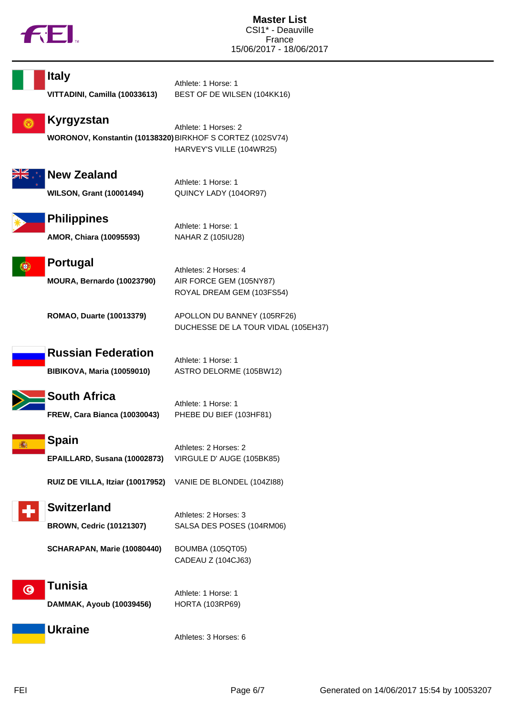

| <b>Italy</b>                                              | Athlete: 1 Horse: 1                                                           |
|-----------------------------------------------------------|-------------------------------------------------------------------------------|
| VITTADINI, Camilla (10033613)                             | BEST OF DE WILSEN (104KK16)                                                   |
| Kyrgyzstan                                                | Athlete: 1 Horses: 2                                                          |
| WORONOV, Konstantin (10138320) BIRKHOF S CORTEZ (102SV74) | HARVEY'S VILLE (104WR25)                                                      |
| <b>New Zealand</b>                                        | Athlete: 1 Horse: 1                                                           |
| <b>WILSON, Grant (10001494)</b>                           | QUINCY LADY (104OR97)                                                         |
| <b>Philippines</b>                                        | Athlete: 1 Horse: 1                                                           |
| AMOR, Chiara (10095593)                                   | NAHAR Z (105IU28)                                                             |
| Portugal<br>MOURA, Bernardo (10023790)                    | Athletes: 2 Horses: 4<br>AIR FORCE GEM (105NY87)<br>ROYAL DREAM GEM (103FS54) |
| <b>ROMAO, Duarte (10013379)</b>                           | APOLLON DU BANNEY (105RF26)<br>DUCHESSE DE LA TOUR VIDAL (105EH37)            |
| <b>Russian Federation</b>                                 | Athlete: 1 Horse: 1                                                           |
| <b>BIBIKOVA, Maria (10059010)</b>                         | ASTRO DELORME (105BW12)                                                       |
| <b>South Africa</b>                                       | Athlete: 1 Horse: 1                                                           |
| <b>FREW, Cara Bianca (10030043)</b>                       | PHEBE DU BIEF (103HF81)                                                       |
| Spain                                                     | Athletes: 2 Horses: 2                                                         |
| EPAILLARD, Susana (10002873)                              | VIRGULE D' AUGE (105BK85)                                                     |
| RUIZ DE VILLA, Itziar (10017952)                          | VANIE DE BLONDEL (104ZI88)                                                    |
| <b>Switzerland</b>                                        | Athletes: 2 Horses: 3                                                         |
| <b>BROWN, Cedric (10121307)</b>                           | SALSA DES POSES (104RM06)                                                     |
| SCHARAPAN, Marie (10080440)                               | <b>BOUMBA (105QT05)</b><br>CADEAU Z (104CJ63)                                 |
| Tunisia                                                   | Athlete: 1 Horse: 1                                                           |
| DAMMAK, Ayoub (10039456)                                  | <b>HORTA (103RP69)</b>                                                        |
| <b>Ukraine</b>                                            | Athletes: 3 Horses: 6                                                         |
|                                                           |                                                                               |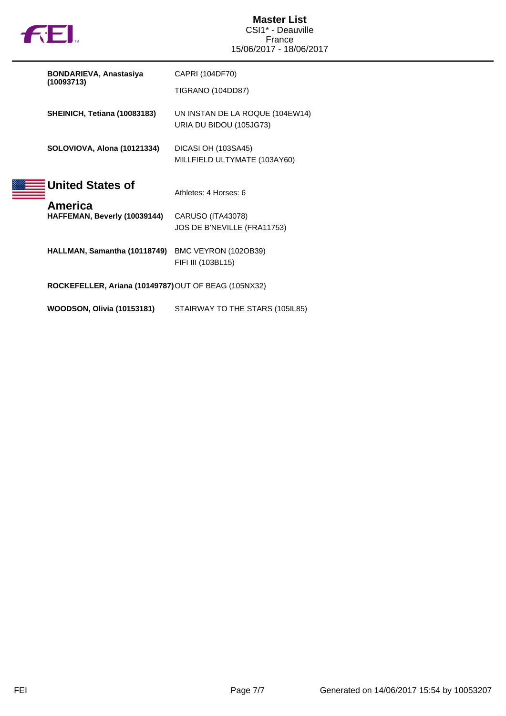

| <b>BONDARIEVA, Anastasiya</b>                        | CAPRI (104DF70)                                            |
|------------------------------------------------------|------------------------------------------------------------|
| (10093713)                                           | TIGRANO (104DD87)                                          |
| SHEINICH, Tetiana (10083183)                         | UN INSTAN DE LA ROQUE (104EW14)<br>URIA DU BIDOU (105JG73) |
| SOLOVIOVA, Alona (10121334)                          | DICASI OH (103SA45)<br>MILLFIELD ULTYMATE (103AY60)        |
| <b>United States of</b><br>America                   | Athletes: 4 Horses: 6                                      |
| HAFFEMAN, Beverly (10039144)                         | CARUSO (ITA43078)<br>JOS DE B'NEVILLE (FRA11753)           |
| HALLMAN, Samantha (10118749)                         | BMC VEYRON (102OB39)<br>FIFI III (103BL15)                 |
| ROCKEFELLER, Ariana (10149787) OUT OF BEAG (105NX32) |                                                            |
| <b>WOODSON, Olivia (10153181)</b>                    | STAIRWAY TO THE STARS (105IL85)                            |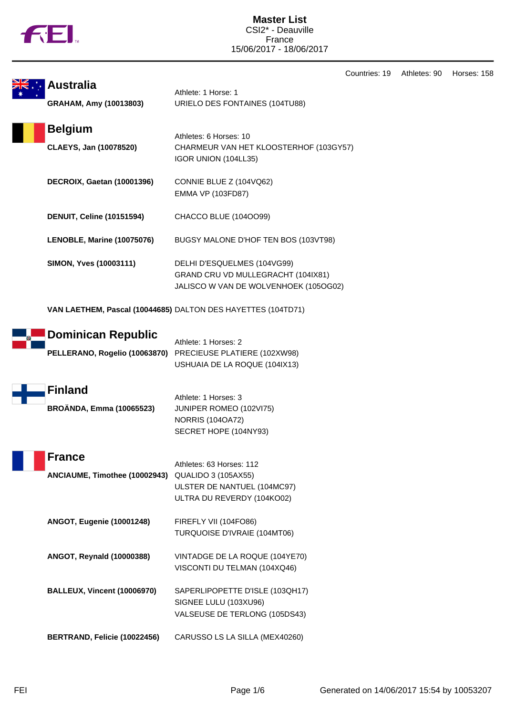

**Master List** CSI2\* - Deauville France 15/06/2017 - 18/06/2017

Countries: 19 Athletes: 90 Horses: 158

| <b>Australia</b>                                           | Athlete: 1 Horse: 1                                                                                                 |
|------------------------------------------------------------|---------------------------------------------------------------------------------------------------------------------|
| GRAHAM, Amy (10013803)                                     | URIELO DES FONTAINES (104TU88)                                                                                      |
| <b>Belgium</b><br>CLAEYS, Jan (10078520)                   | Athletes: 6 Horses: 10<br>CHARMEUR VAN HET KLOOSTERHOF (103GY57)<br>IGOR UNION (104LL35)                            |
| DECROIX, Gaetan (10001396)                                 | CONNIE BLUE Z (104VQ62)<br><b>EMMA VP (103FD87)</b>                                                                 |
| <b>DENUIT, Celine (10151594)</b>                           | CHACCO BLUE (1040099)                                                                                               |
| LENOBLE, Marine (10075076)                                 | BUGSY MALONE D'HOF TEN BOS (103VT98)                                                                                |
| SIMON, Yves (10003111)                                     | DELHI D'ESQUELMES (104VG99)<br>GRAND CRU VD MULLEGRACHT (104IX81)<br>JALISCO W VAN DE WOLVENHOEK (105OG02)          |
|                                                            | VAN LAETHEM, Pascal (10044685) DALTON DES HAYETTES (104TD71)                                                        |
| <b>Dominican Republic</b><br>PELLERANO, Rogelio (10063870) | Athlete: 1 Horses: 2<br>PRECIEUSE PLATIERE (102XW98)<br>USHUAIA DE LA ROQUE (104IX13)                               |
| <b>Finland</b><br><b>BROÄNDA, Emma (10065523)</b>          | Athlete: 1 Horses: 3<br>JUNIPER ROMEO (102VI75)<br><b>NORRIS (104OA72)</b><br>SECRET HOPE (104NY93)                 |
| <b>France</b><br>ANCIAUME, Timothee (10002943)             | Athletes: 63 Horses: 112<br><b>QUALIDO 3 (105AX55)</b><br>ULSTER DE NANTUEL (104MC97)<br>ULTRA DU REVERDY (104KO02) |
| <b>ANGOT, Eugenie (10001248)</b>                           | FIREFLY VII (104FO86)<br>TURQUOISE D'IVRAIE (104MT06)                                                               |
| ANGOT, Reynald (10000388)                                  | VINTADGE DE LA ROQUE (104YE70)<br>VISCONTI DU TELMAN (104XQ46)                                                      |
| <b>BALLEUX, Vincent (10006970)</b>                         | SAPERLIPOPETTE D'ISLE (103QH17)<br>SIGNEE LULU (103XU96)<br>VALSEUSE DE TERLONG (105DS43)                           |
| BERTRAND, Felicie (10022456)                               | CARUSSO LS LA SILLA (MEX40260)                                                                                      |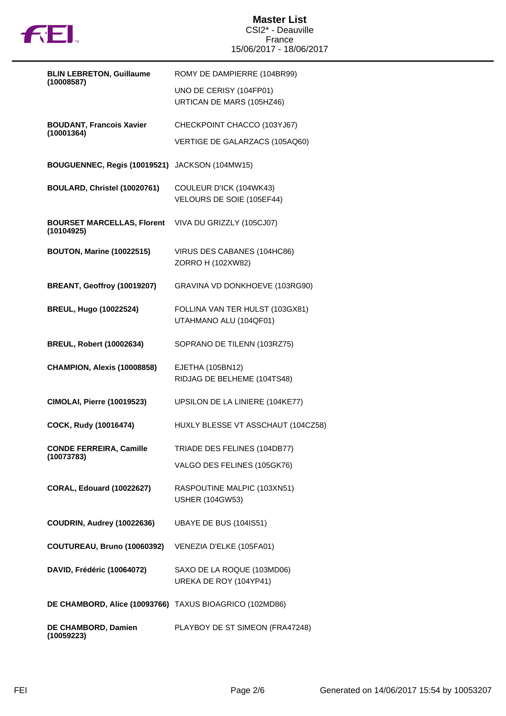

## **Master List** CSI2\* - Deauville France 15/06/2017 - 18/06/2017

| <b>BLIN LEBRETON, Guillaume</b><br>(10008587)           | ROMY DE DAMPIERRE (104BR99)                               |
|---------------------------------------------------------|-----------------------------------------------------------|
|                                                         | UNO DE CERISY (104FP01)<br>URTICAN DE MARS (105HZ46)      |
| <b>BOUDANT, Francois Xavier</b><br>(10001364)           | CHECKPOINT CHACCO (103YJ67)                               |
|                                                         | VERTIGE DE GALARZACS (105AQ60)                            |
| BOUGUENNEC, Regis (10019521) JACKSON (104MW15)          |                                                           |
| BOULARD, Christel (10020761)                            | COULEUR D'ICK (104WK43)<br>VELOURS DE SOIE (105EF44)      |
| <b>BOURSET MARCELLAS, Florent</b><br>(10104925)         | VIVA DU GRIZZLY (105CJ07)                                 |
| <b>BOUTON, Marine (10022515)</b>                        | VIRUS DES CABANES (104HC86)<br>ZORRO H (102XW82)          |
| BREANT, Geoffroy (10019207)                             | GRAVINA VD DONKHOEVE (103RG90)                            |
| <b>BREUL, Hugo (10022524)</b>                           | FOLLINA VAN TER HULST (103GX81)<br>UTAHMANO ALU (104QF01) |
| <b>BREUL, Robert (10002634)</b>                         | SOPRANO DE TILENN (103RZ75)                               |
| CHAMPION, Alexis (10008858)                             | EJETHA (105BN12)<br>RIDJAG DE BELHEME (104TS48)           |
| <b>CIMOLAI, Pierre (10019523)</b>                       | UPSILON DE LA LINIERE (104KE77)                           |
| COCK, Rudy (10016474)                                   | HUXLY BLESSE VT ASSCHAUT (104CZ58)                        |
| <b>CONDE FERREIRA, Camille</b>                          | TRIADE DES FELINES (104DB77)                              |
| (10073783)                                              | VALGO DES FELINES (105GK76)                               |
| <b>CORAL, Edouard (10022627)</b>                        | RASPOUTINE MALPIC (103XN51)<br><b>USHER (104GW53)</b>     |
| COUDRIN, Audrey (10022636)                              | <b>UBAYE DE BUS (104IS51)</b>                             |
| <b>COUTUREAU, Bruno (10060392)</b>                      | VENEZIA D'ELKE (105FA01)                                  |
| DAVID, Frédéric (10064072)                              | SAXO DE LA ROQUE (103MD06)<br>UREKA DE ROY (104YP41)      |
| DE CHAMBORD, Alice (10093766) TAXUS BIOAGRICO (102MD86) |                                                           |
|                                                         |                                                           |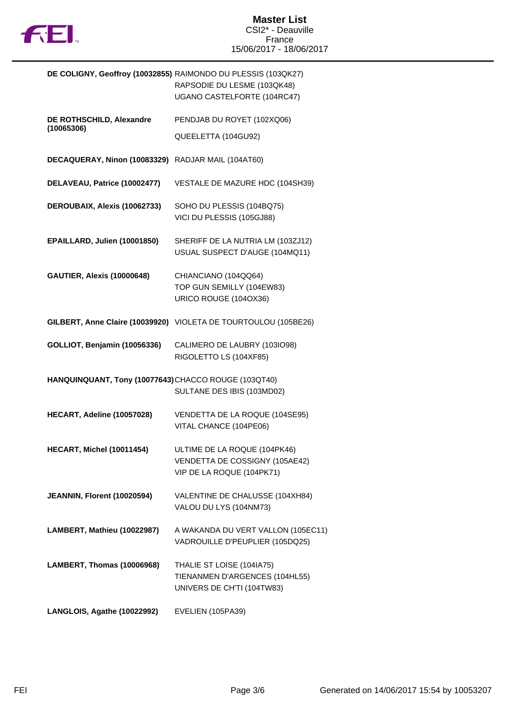

|                                                      | DE COLIGNY, Geoffroy (10032855) RAIMONDO DU PLESSIS (103QK27)<br>RAPSODIE DU LESME (103QK48)<br>UGANO CASTELFORTE (104RC47) |
|------------------------------------------------------|-----------------------------------------------------------------------------------------------------------------------------|
| DE ROTHSCHILD, Alexandre                             | PENDJAB DU ROYET (102XQ06)                                                                                                  |
| (10065306)                                           | QUEELETTA (104GU92)                                                                                                         |
| DECAQUERAY, Ninon (10083329)                         | RADJAR MAIL (104AT60)                                                                                                       |
| DELAVEAU, Patrice (10002477)                         | VESTALE DE MAZURE HDC (104SH39)                                                                                             |
| DEROUBAIX, Alexis (10062733)                         | SOHO DU PLESSIS (104BQ75)<br>VICI DU PLESSIS (105GJ88)                                                                      |
| EPAILLARD, Julien (10001850)                         | SHERIFF DE LA NUTRIA LM (103ZJ12)<br>USUAL SUSPECT D'AUGE (104MQ11)                                                         |
| <b>GAUTIER, Alexis (10000648)</b>                    | CHIANCIANO (104QQ64)<br>TOP GUN SEMILLY (104EW83)<br>URICO ROUGE (104OX36)                                                  |
|                                                      | GILBERT, Anne Claire (10039920) VIOLETA DE TOURTOULOU (105BE26)                                                             |
| GOLLIOT, Benjamin (10056336)                         | CALIMERO DE LAUBRY (103IO98)<br>RIGOLETTO LS (104XF85)                                                                      |
| HANQUINQUANT, Tony (10077643) CHACCO ROUGE (103QT40) | SULTANE DES IBIS (103MD02)                                                                                                  |
| HECART, Adeline (10057028)                           | VENDETTA DE LA ROQUE (104SE95)<br>VITAL CHANCE (104PE06)                                                                    |
| <b>HECART. Michel (10011454)</b>                     | ULTIME DE LA ROQUE (104PK46)<br>VENDETTA DE COSSIGNY (105AE42)<br>VIP DE LA ROQUE (104PK71)                                 |
| JEANNIN, Florent (10020594)                          | VALENTINE DE CHALUSSE (104XH84)<br>VALOU DU LYS (104NM73)                                                                   |
| LAMBERT, Mathieu (10022987)                          | A WAKANDA DU VERT VALLON (105EC11)<br>VADROUILLE D'PEUPLIER (105DQ25)                                                       |
| LAMBERT, Thomas (10006968)                           | THALIE ST LOISE (104IA75)<br>TIENANMEN D'ARGENCES (104HL55)<br>UNIVERS DE CH'TI (104TW83)                                   |
| LANGLOIS, Agathe (10022992)                          | EVELIEN (105PA39)                                                                                                           |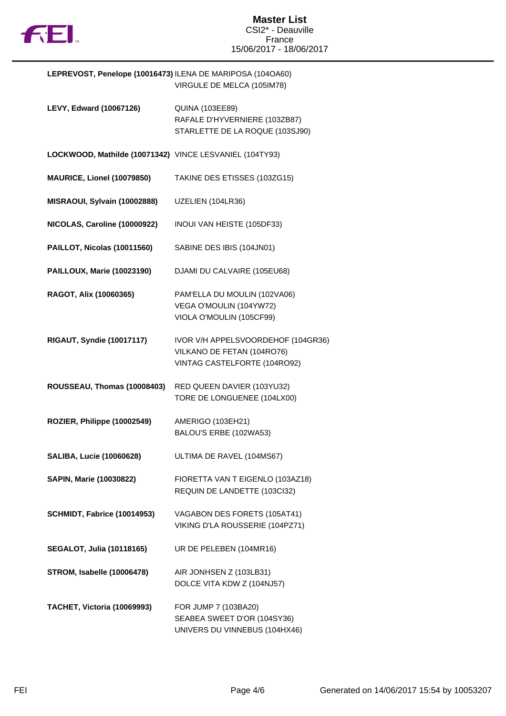

| LEPREVOST, Penelope (10016473) ILENA DE MARIPOSA (104OA60) |                            |
|------------------------------------------------------------|----------------------------|
|                                                            | VIRGULE DE MELCA (105IM78) |

| <b>LEVY, Edward (10067126)</b>                          | <b>QUINA (103EE89)</b><br>RAFALE D'HYVERNIERE (103ZB87)<br>STARLETTE DE LA ROQUE (103SJ90)       |
|---------------------------------------------------------|--------------------------------------------------------------------------------------------------|
| LOCKWOOD, Mathilde (10071342) VINCE LESVANIEL (104TY93) |                                                                                                  |
| MAURICE, Lionel (10079850)                              | TAKINE DES ETISSES (103ZG15)                                                                     |
| MISRAOUI, Sylvain (10002888)                            | UZELIEN (104LR36)                                                                                |
| NICOLAS, Caroline (10000922)                            | INOUI VAN HEISTE (105DF33)                                                                       |
| PAILLOT, Nicolas (10011560)                             | SABINE DES IBIS (104JN01)                                                                        |
| <b>PAILLOUX, Marie (10023190)</b>                       | DJAMI DU CALVAIRE (105EU68)                                                                      |
| RAGOT, Alix (10060365)                                  | PAM'ELLA DU MOULIN (102VA06)<br>VEGA O'MOULIN (104YW72)<br>VIOLA O'MOULIN (105CF99)              |
| <b>RIGAUT, Syndie (10017117)</b>                        | IVOR V/H APPELSVOORDEHOF (104GR36)<br>VILKANO DE FETAN (104RO76)<br>VINTAG CASTELFORTE (104RO92) |
| ROUSSEAU, Thomas (10008403)                             | RED QUEEN DAVIER (103YU32)<br>TORE DE LONGUENEE (104LX00)                                        |
| ROZIER, Philippe (10002549)                             | AMERIGO (103EH21)<br>BALOU'S ERBE (102WA53)                                                      |
| <b>SALIBA, Lucie (10060628)</b>                         | ULTIMA DE RAVEL (104MS67)                                                                        |
| SAPIN, Marie (10030822)                                 | FIORETTA VAN T EIGENLO (103AZ18)<br>REQUIN DE LANDETTE (103Cl32)                                 |
| SCHMIDT, Fabrice (10014953)                             | VAGABON DES FORETS (105AT41)<br>VIKING D'LA ROUSSERIE (104PZ71)                                  |
| <b>SEGALOT, Julia (10118165)</b>                        | UR DE PELEBEN (104MR16)                                                                          |
| <b>STROM, Isabelle (10006478)</b>                       | AIR JONHSEN Z (103LB31)<br>DOLCE VITA KDW Z (104NJ57)                                            |
| TACHET, Victoria (10069993)                             | FOR JUMP 7 (103BA20)<br>SEABEA SWEET D'OR (104SY36)<br>UNIVERS DU VINNEBUS (104HX46)             |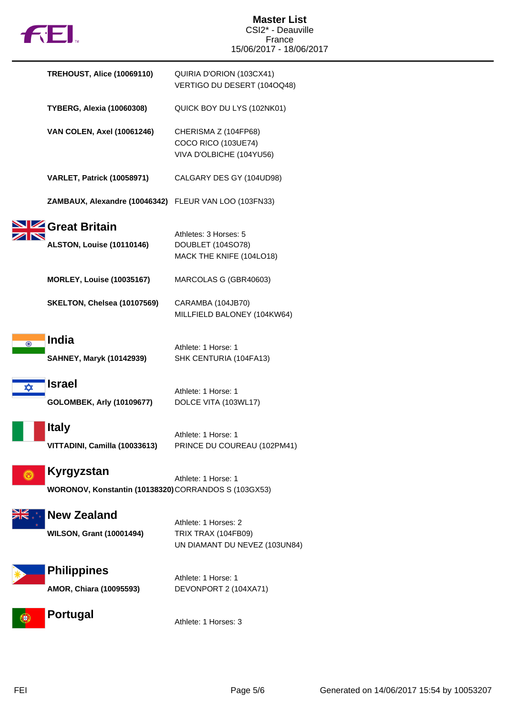|         | <b>FEL</b>                                                         | <b>Master List</b><br>CSI2* - Deauville<br>France<br>15/06/2017 - 18/06/2017 |
|---------|--------------------------------------------------------------------|------------------------------------------------------------------------------|
|         | <b>TREHOUST, Alice (10069110)</b>                                  | QUIRIA D'ORION (103CX41)<br>VERTIGO DU DESERT (104OQ48)                      |
|         | <b>TYBERG, Alexia (10060308)</b>                                   | QUICK BOY DU LYS (102NK01)                                                   |
|         | <b>VAN COLEN, Axel (10061246)</b>                                  | CHERISMA Z (104FP68)<br>COCO RICO (103UE74)<br>VIVA D'OLBICHE (104YU56)      |
|         | <b>VARLET, Patrick (10058971)</b>                                  | CALGARY DES GY (104UD98)                                                     |
|         | ZAMBAUX, Alexandre (10046342) FLEUR VAN LOO (103FN33)              |                                                                              |
|         | Great Britain<br><b>ALSTON, Louise (10110146)</b>                  | Athletes: 3 Horses: 5<br>DOUBLET (104SO78)<br>MACK THE KNIFE (104LO18)       |
|         | <b>MORLEY, Louise (10035167)</b>                                   | MARCOLAS G (GBR40603)                                                        |
|         | SKELTON, Chelsea (10107569)                                        | CARAMBA (104JB70)<br>MILLFIELD BALONEY (104KW64)                             |
| $\odot$ | <b>India</b><br><b>SAHNEY, Maryk (10142939)</b>                    | Athlete: 1 Horse: 1<br>SHK CENTURIA (104FA13)                                |
| ✿       | <b>Israel</b><br><b>GOLOMBEK, Arly (10109677)</b>                  | Athlete: 1 Horse: 1<br>DOLCE VITA (103WL17)                                  |
|         | <b>Italy</b><br>VITTADINI, Camilla (10033613)                      | Athlete: 1 Horse: 1<br>PRINCE DU COUREAU (102PM41)                           |
|         | Kyrgyzstan<br>WORONOV, Konstantin (10138320) CORRANDOS S (103GX53) | Athlete: 1 Horse: 1                                                          |
|         | <b>New Zealand</b><br><b>WILSON, Grant (10001494)</b>              | Athlete: 1 Horses: 2<br>TRIX TRAX (104FB09)<br>UN DIAMANT DU NEVEZ (103UN84) |
|         | <b>Philippines</b><br>AMOR, Chiara (10095593)                      | Athlete: 1 Horse: 1<br>DEVONPORT 2 (104XA71)                                 |
|         | <b>Portugal</b>                                                    | Athlete: 1 Horses: 3                                                         |